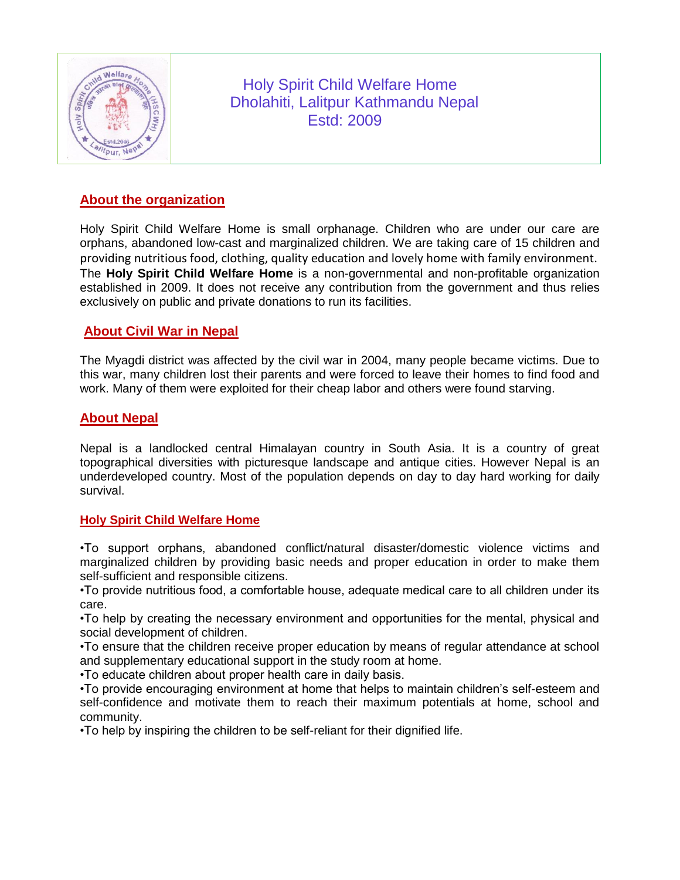

# Holy Spirit Child Welfare Home Dholahiti, Lalitpur Kathmandu Nepal Estd: 2009

# **About the organization**

Holy Spirit Child Welfare Home is small orphanage. Children who are under our care are orphans, abandoned low-cast and marginalized children. We are taking care of 15 children and providing nutritious food, clothing, quality education and lovely home with family environment. The **Holy Spirit Child Welfare Home** is a non-governmental and non-profitable organization established in 2009. It does not receive any contribution from the government and thus relies exclusively on public and private donations to run its facilities.

### **About Civil War in Nepal**

The Myagdi district was affected by the civil war in 2004, many people became victims. Due to this war, many children lost their parents and were forced to leave their homes to find food and work. Many of them were exploited for their cheap labor and others were found starving.

### **About Nepal**

Nepal is a landlocked central Himalayan country in South Asia. It is a country of great topographical diversities with picturesque landscape and antique cities. However Nepal is an underdeveloped country. Most of the population depends on day to day hard working for daily survival.

#### **Holy Spirit Child Welfare Home**

•To support orphans, abandoned conflict/natural disaster/domestic violence victims and marginalized children by providing basic needs and proper education in order to make them self-sufficient and responsible citizens.

•To provide nutritious food, a comfortable house, adequate medical care to all children under its care.

•To help by creating the necessary environment and opportunities for the mental, physical and social development of children.

•To ensure that the children receive proper education by means of regular attendance at school and supplementary educational support in the study room at home.

•To educate children about proper health care in daily basis.

•To provide encouraging environment at home that helps to maintain children's self-esteem and self-confidence and motivate them to reach their maximum potentials at home, school and community.

•To help by inspiring the children to be self-reliant for their dignified life.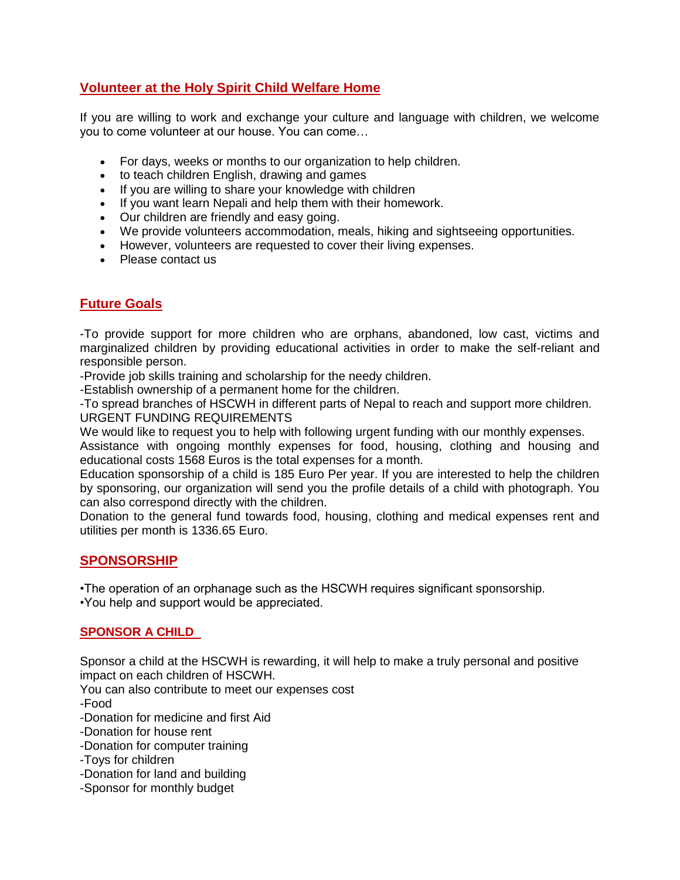# **Volunteer at the Holy Spirit Child Welfare Home**

If you are willing to work and exchange your culture and language with children, we welcome you to come volunteer at our house. You can come…

- For days, weeks or months to our organization to help children.
- to teach children English, drawing and games
- If you are willing to share your knowledge with children
- If you want learn Nepali and help them with their homework.
- Our children are friendly and easy going.
- We provide volunteers accommodation, meals, hiking and sightseeing opportunities.
- However, volunteers are requested to cover their living expenses.
- Please contact us

## **Future Goals**

-To provide support for more children who are orphans, abandoned, low cast, victims and marginalized children by providing educational activities in order to make the self-reliant and responsible person.

-Provide job skills training and scholarship for the needy children.

-Establish ownership of a permanent home for the children.

-To spread branches of HSCWH in different parts of Nepal to reach and support more children. URGENT FUNDING REQUIREMENTS

We would like to request you to help with following urgent funding with our monthly expenses.

Assistance with ongoing monthly expenses for food, housing, clothing and housing and educational costs 1568 Euros is the total expenses for a month.

Education sponsorship of a child is 185 Euro Per year. If you are interested to help the children by sponsoring, our organization will send you the profile details of a child with photograph. You can also correspond directly with the children.

Donation to the general fund towards food, housing, clothing and medical expenses rent and utilities per month is 1336.65 Euro.

### **SPONSORSHIP**

•The operation of an orphanage such as the HSCWH requires significant sponsorship.

•You help and support would be appreciated.

### **SPONSOR A CHILD**

Sponsor a child at the HSCWH is rewarding, it will help to make a truly personal and positive impact on each children of HSCWH.

You can also contribute to meet our expenses cost

-Food

-Donation for medicine and first Aid

-Donation for house rent

-Donation for computer training

-Toys for children

-Donation for land and building

-Sponsor for monthly budget